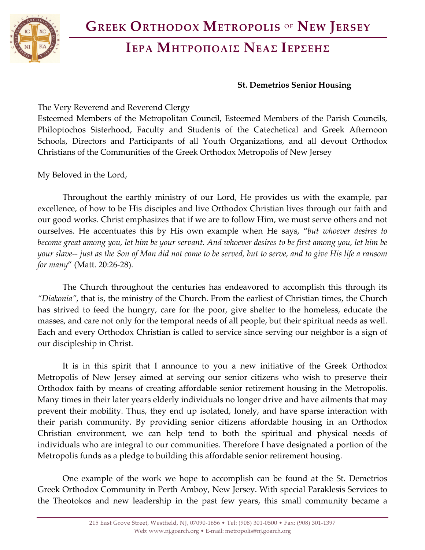# **ΙΕΡΑ ΜΗΤΡΟΠΟΛΙΣ ΝΕΑΣ ΙΕΡΣΕΗΣ**

#### **St. Demetrios Senior Housing**

The Very Reverend and Reverend Clergy

Esteemed Members of the Metropolitan Council, Esteemed Members of the Parish Councils, Philoptochos Sisterhood, Faculty and Students of the Catechetical and Greek Afternoon Schools, Directors and Participants of all Youth Organizations, and all devout Orthodox Christians of the Communities of the Greek Orthodox Metropolis of New Jersey

My Beloved in the Lord,

Throughout the earthly ministry of our Lord, He provides us with the example, par excellence, of how to be His disciples and live Orthodox Christian lives through our faith and our good works. Christ emphasizes that if we are to follow Him, we must serve others and not ourselves. He accentuates this by His own example when He says, "*but whoever desires to become great among you, let him be your servant. And whoever desires to be first among you, let him be your slave-- just as the Son of Man did not come to be served, but to serve, and to give His life a ransom for many*" (Matt. 20:26-28).

The Church throughout the centuries has endeavored to accomplish this through its *"Diakonia"*, that is, the ministry of the Church. From the earliest of Christian times, the Church has strived to feed the hungry, care for the poor, give shelter to the homeless, educate the masses, and care not only for the temporal needs of all people, but their spiritual needs as well. Each and every Orthodox Christian is called to service since serving our neighbor is a sign of our discipleship in Christ.

It is in this spirit that I announce to you a new initiative of the Greek Orthodox Metropolis of New Jersey aimed at serving our senior citizens who wish to preserve their Orthodox faith by means of creating affordable senior retirement housing in the Metropolis. Many times in their later years elderly individuals no longer drive and have ailments that may prevent their mobility. Thus, they end up isolated, lonely, and have sparse interaction with their parish community. By providing senior citizens affordable housing in an Orthodox Christian environment, we can help tend to both the spiritual and physical needs of individuals who are integral to our communities. Therefore I have designated a portion of the Metropolis funds as a pledge to building this affordable senior retirement housing.

One example of the work we hope to accomplish can be found at the St. Demetrios Greek Orthodox Community in Perth Amboy, New Jersey. With special Paraklesis Services to the Theotokos and new leadership in the past few years, this small community became a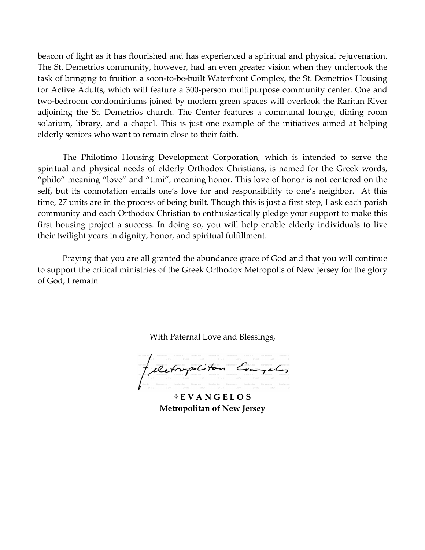beacon of light as it has flourished and has experienced a spiritual and physical rejuvenation. The St. Demetrios community, however, had an even greater vision when they undertook the task of bringing to fruition a soon-to-be-built Waterfront Complex, the St. Demetrios Housing for Active Adults, which will feature a 300-person multipurpose community center. One and two-bedroom condominiums joined by modern green spaces will overlook the Raritan River adjoining the St. Demetrios church. The Center features a communal lounge, dining room solarium, library, and a chapel. This is just one example of the initiatives aimed at helping elderly seniors who want to remain close to their faith.

The Philotimo Housing Development Corporation, which is intended to serve the spiritual and physical needs of elderly Orthodox Christians, is named for the Greek words, "philo" meaning "love" and "timi", meaning honor. This love of honor is not centered on the self, but its connotation entails one's love for and responsibility to one's neighbor. At this time, 27 units are in the process of being built. Though this is just a first step, I ask each parish community and each Orthodox Christian to enthusiastically pledge your support to make this first housing project a success. In doing so, you will help enable elderly individuals to live their twilight years in dignity, honor, and spiritual fulfillment.

Praying that you are all granted the abundance grace of God and that you will continue to support the critical ministries of the Greek Orthodox Metropolis of New Jersey for the glory of God, I remain

With Paternal Love and Blessings,

felctorpolitan Everydos

**† E V A N G E L O S Metropolitan of New Jersey**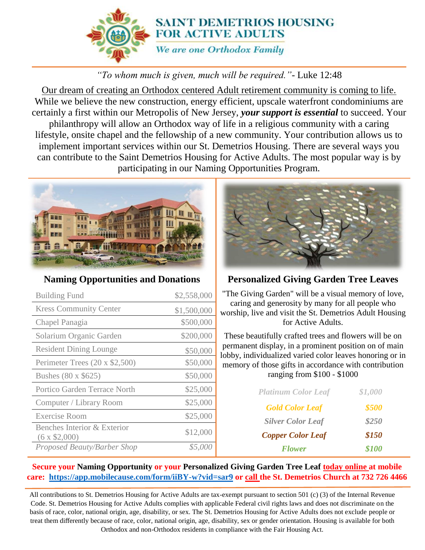

## *"To whom much is given, much will be required."-* Luke 12:48

Our dream of creating an Orthodox centered Adult retirement community is coming to life. While we believe the new construction, energy efficient, upscale waterfront condominiums are certainly a first within our Metropolis of New Jersey, *your support is essential* to succeed. Your philanthropy will allow an Orthodox way of life in a religious community with a caring lifestyle, onsite chapel and the fellowship of a new community. Your contribution allows us to implement important services within our St. Demetrios Housing. There are several ways you can contribute to the Saint Demetrios Housing for Active Adults. The most popular way is by participating in our Naming Opportunities Program.



#### **Naming Opportunities and Donations**

| <b>Building Fund</b>                               | \$2,558,000 |
|----------------------------------------------------|-------------|
| <b>Kress Community Center</b>                      | \$1,500,000 |
| Chapel Panagia                                     | \$500,000   |
| Solarium Organic Garden                            | \$200,000   |
| <b>Resident Dining Lounge</b>                      | \$50,000    |
| Perimeter Trees (20 x \$2,500)                     | \$50,000    |
| Bushes (80 x \$625)                                | \$50,000    |
| Portico Garden Terrace North                       | \$25,000    |
| Computer / Library Room                            | \$25,000    |
| Exercise Room                                      | \$25,000    |
| Benches Interior & Exterior<br>$(6 \times $2,000)$ | \$12,000    |
| Proposed Beauty/Barber Shop                        | \$5,00      |



### **Personalized Giving Garden Tree Leaves**

"The Giving Garden" will be a visual memory of love, caring and generosity by many for all people who worship, live and visit the St. Demetrios Adult Housing for Active Adults.

These beautifully crafted trees and flowers will be on permanent display, in a prominent position on of main lobby, individualized varied color leaves honoring or in memory of those gifts in accordance with contribution ranging from \$100 - \$1000

| <b>Platinum Color Leaf</b> | \$1,000 |
|----------------------------|---------|
| <b>Gold Color Leaf</b>     | \$500   |
| <b>Silver Color Leaf</b>   | \$250   |
| <b>Copper Color Leaf</b>   | \$150   |
| <b>Flower</b>              | \$100   |

#### **Secure your Naming Opportunity or your Personalized Giving Garden Tree Leaf today online at mobile care: <https://app.mobilecause.com/form/iiBY-w?vid=sar9> or call the St. Demetrios Church at 732 726 4466**

All contributions to St. Demetrios Housing for Active Adults are tax-exempt pursuant to section 501 (c) (3) of the Internal Revenue Code. St. Demetrios Housing for Active Adults complies with applicable Federal civil rights laws and does not discriminate on the basis of race, color, national origin, age, disability, or sex. The St. Demetrios Housing for Active Adults does not exclude people or treat them differently because of race, color, national origin, age, disability, sex or gender orientation. Housing is available for both Orthodox and non-Orthodox residents in compliance with the Fair Housing Act.